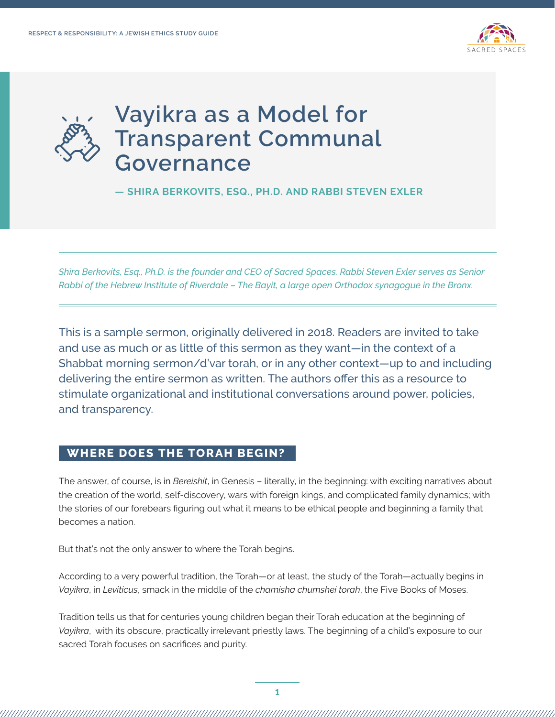



**— SHIRA BERKOVITS, ESQ., PH.D. AND RABBI STEVEN EXLER** 

*Shira Berkovits, Esq., Ph.D. is the founder and CEO of Sacred Spaces. Rabbi Steven Exler serves as Senior Rabbi of the Hebrew Institute of Riverdale – The Bayit, a large open Orthodox synagogue in the Bronx.*

This is a sample sermon, originally delivered in 2018. Readers are invited to take and use as much or as little of this sermon as they want—in the context of a Shabbat morning sermon/d'var torah, or in any other context—up to and including delivering the entire sermon as written. The authors offer this as a resource to stimulate organizational and institutional conversations around power, policies, and transparency.

#### **WHERE DOES THE TORAH BEGIN?**

The answer, of course, is in *Bereishit*, in Genesis – literally, in the beginning: with exciting narratives about the creation of the world, self-discovery, wars with foreign kings, and complicated family dynamics; with the stories of our forebears figuring out what it means to be ethical people and beginning a family that becomes a nation.

But that's not the only answer to where the Torah begins.

According to a very powerful tradition, the Torah—or at least, the study of the Torah—actually begins in *Vayikra*, in *Leviticus*, smack in the middle of the *chamisha chumshei torah*, the Five Books of Moses.

Tradition tells us that for centuries young children began their Torah education at the beginning of *Vayikra*, with its obscure, practically irrelevant priestly laws. The beginning of a child's exposure to our sacred Torah focuses on sacrifices and purity.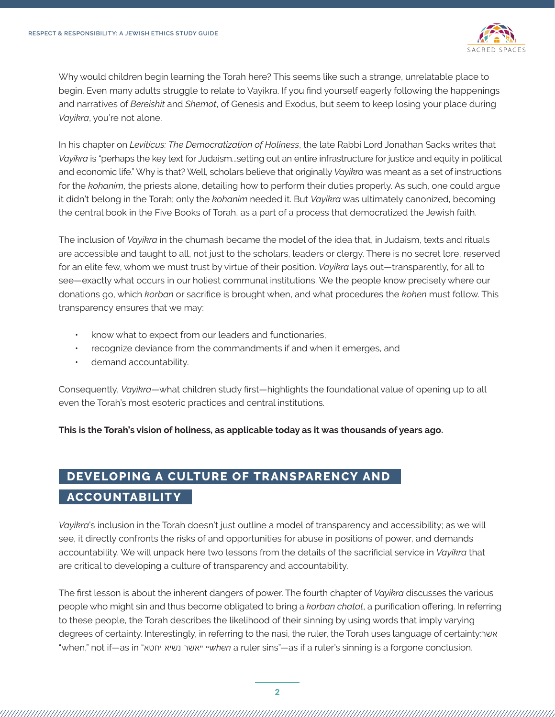

Why would children begin learning the Torah here? This seems like such a strange, unrelatable place to begin. Even many adults struggle to relate to Vayikra. If you find yourself eagerly following the happenings and narratives of *Bereishit* and *Shemot*, of Genesis and Exodus, but seem to keep losing your place during *Vayikra*, you're not alone.

In his chapter on *Leviticus: The Democratization of Holiness*, the late Rabbi Lord Jonathan Sacks writes that *Vayikra* is "perhaps the key text for Judaism...setting out an entire infrastructure for justice and equity in political and economic life." Why is that? Well, scholars believe that originally *Vayikra* was meant as a set of instructions for the *kohanim*, the priests alone, detailing how to perform their duties properly. As such, one could argue it didn't belong in the Torah; only the *kohanim* needed it. But *Vayikra* was ultimately canonized, becoming the central book in the Five Books of Torah, as a part of a process that democratized the Jewish faith.

The inclusion of *Vayikra* in the chumash became the model of the idea that, in Judaism, texts and rituals are accessible and taught to all, not just to the scholars, leaders or clergy. There is no secret lore, reserved for an elite few, whom we must trust by virtue of their position. *Vayikra* lays out—transparently, for all to see—exactly what occurs in our holiest communal institutions. We the people know precisely where our donations go, which *korban* or sacrifice is brought when, and what procedures the *kohen* must follow. This transparency ensures that we may:

- know what to expect from our leaders and functionaries,
- recognize deviance from the commandments if and when it emerges, and
- demand accountability.

Consequently, *Vayikra*—what children study first—highlights the foundational value of opening up to all even the Torah's most esoteric practices and central institutions.

**This is the Torah's vision of holiness, as applicable today as it was thousands of years ago.**

# **DEVELOPING A CULTURE OF TRANSPARENCY AND ACCOUNTABILITY**

*Vayikra*'s inclusion in the Torah doesn't just outline a model of transparency and accessibility; as we will see, it directly confronts the risks of and opportunities for abuse in positions of power, and demands accountability. We will unpack here two lessons from the details of the sacrificial service in *Vayikra* that are critical to developing a culture of transparency and accountability.

The first lesson is about the inherent dangers of power. The fourth chapter of *Vayikra* discusses the various people who might sin and thus become obligated to bring a *korban chatat*, a purification offering. In referring to these people, the Torah describes the likelihood of their sinning by using words that imply varying degrees of certainty. Interestingly, in referring to the nasi, the ruler, the Torah uses language of certainty:אשר "when," not if—as in "יחטא נשיא אשר" "*when* a ruler sins"—as if a ruler's sinning is a forgone conclusion.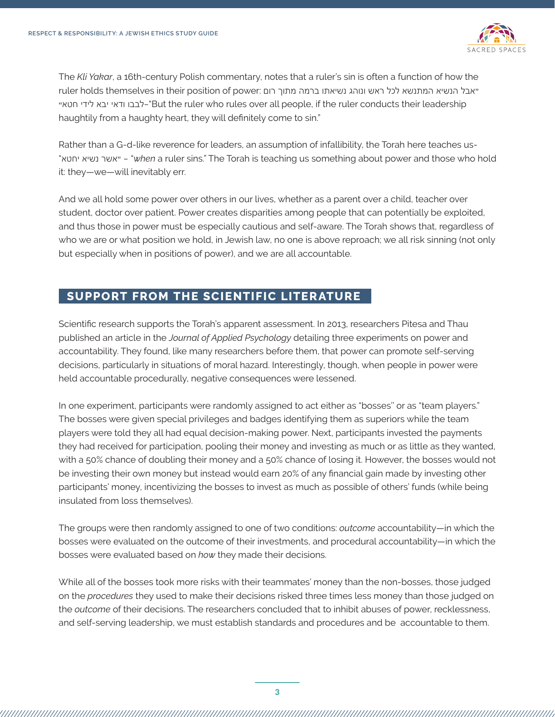

The *Kli Yakar*, a 16th-century Polish commentary, notes that a ruler's sin is often a function of how the "אבל הנשיא המתנשא לכל ראש ונוהג נשיאתו ברמה מתוך רום :power of position their in themselves holds ruler "לבבו ודאי יבא לידי חטא-"But the ruler who rules over all people, if the ruler conducts their leadership haughtily from a haughty heart, they will definitely come to sin."

Rather than a G-d-like reverence for leaders, an assumption of infallibility, the Torah here teaches us- "יחטא נשיא אשר" — "*when* a ruler sins." The Torah is teaching us something about power and those who hold it: they—we—will inevitably err.

And we all hold some power over others in our lives, whether as a parent over a child, teacher over student, doctor over patient. Power creates disparities among people that can potentially be exploited, and thus those in power must be especially cautious and self-aware. The Torah shows that, regardless of who we are or what position we hold, in Jewish law, no one is above reproach; we all risk sinning (not only but especially when in positions of power), and we are all accountable.

### **SUPPORT FROM THE SCIENTIFIC LITERATURE**

Scientific research supports the Torah's apparent assessment. In 2013, researchers Pitesa and Thau published an article in the *Journal of Applied Psychology* detailing three experiments on power and accountability. They found, like many researchers before them, that power can promote self-serving decisions, particularly in situations of moral hazard. Interestingly, though, when people in power were held accountable procedurally, negative consequences were lessened.

In one experiment, participants were randomly assigned to act either as "bosses'' or as "team players." The bosses were given special privileges and badges identifying them as superiors while the team players were told they all had equal decision-making power. Next, participants invested the payments they had received for participation, pooling their money and investing as much or as little as they wanted, with a 50% chance of doubling their money and a 50% chance of losing it. However, the bosses would not be investing their own money but instead would earn 20% of any financial gain made by investing other participants' money, incentivizing the bosses to invest as much as possible of others' funds (while being insulated from loss themselves).

The groups were then randomly assigned to one of two conditions: *outcome* accountability—in which the bosses were evaluated on the outcome of their investments, and procedural accountability—in which the bosses were evaluated based on *how* they made their decisions.

While all of the bosses took more risks with their teammates' money than the non-bosses, those judged on the *procedures* they used to make their decisions risked three times less money than those judged on the *outcome* of their decisions. The researchers concluded that to inhibit abuses of power, recklessness, and self-serving leadership, we must establish standards and procedures and be accountable to them.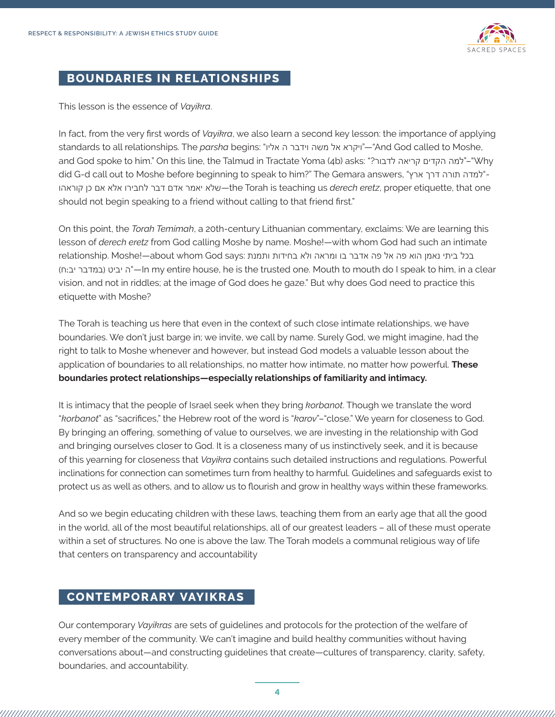

### **BOUNDARIES IN RELATIONSHIPS**

This lesson is the essence of *Vayikra*.

In fact, from the very first words of *Vayikra*, we also learn a second key lesson: the importance of applying standards to all relationships. The *parsha* begins: "אליו ה וידבר משה אל ויקרא"—"And God called to Moshe, and God spoke to him." On this line, the Talmud in Tractate Yoma (4b) asks: "רבור?" did G-d call out to Moshe before beginning to speak to him?" The Gemara answers, "אמדה תורה דרך ארץ קוראהו כן אם אלא לחבירו דבר אדם יאמר שלא—the Torah is teaching us *derech eretz*, proper etiquette, that one should not begin speaking to a friend without calling to that friend first."

On this point, the *Torah Temimah*, a 20th-century Lithuanian commentary, exclaims: We are learning this lesson of *derech eretz* from God calling Moshe by name. Moshe!—with whom God had such an intimate בכל ביתי נאמן הוא פה אל פה אדבר בו ומראה ולא בחידות ותמנת selationship. Moshe!—about whom God says: (ח:יב במדבר (יביט ה—"In my entire house, he is the trusted one. Mouth to mouth do I speak to him, in a clear vision, and not in riddles; at the image of God does he gaze." But why does God need to practice this etiquette with Moshe?

The Torah is teaching us here that even in the context of such close intimate relationships, we have boundaries. We don't just barge in; we invite, we call by name. Surely God, we might imagine, had the right to talk to Moshe whenever and however, but instead God models a valuable lesson about the application of boundaries to all relationships, no matter how intimate, no matter how powerful. **These boundaries protect relationships—especially relationships of familiarity and intimacy.**

It is intimacy that the people of Israel seek when they bring *korbanot*. Though we translate the word "*korbanot*" as "sacrifices," the Hebrew root of the word is "*karov*"–"close." We yearn for closeness to God. By bringing an offering, something of value to ourselves, we are investing in the relationship with God and bringing ourselves closer to God. It is a closeness many of us instinctively seek, and it is because of this yearning for closeness that *Vayikra* contains such detailed instructions and regulations. Powerful inclinations for connection can sometimes turn from healthy to harmful. Guidelines and safeguards exist to protect us as well as others, and to allow us to flourish and grow in healthy ways within these frameworks.

And so we begin educating children with these laws, teaching them from an early age that all the good in the world, all of the most beautiful relationships, all of our greatest leaders – all of these must operate within a set of structures. No one is above the law. The Torah models a communal religious way of life that centers on transparency and accountability

## **CONTEMPORARY VAYIKRAS**

Our contemporary *Vayikras* are sets of guidelines and protocols for the protection of the welfare of every member of the community. We can't imagine and build healthy communities without having conversations about—and constructing guidelines that create—cultures of transparency, clarity, safety, boundaries, and accountability.